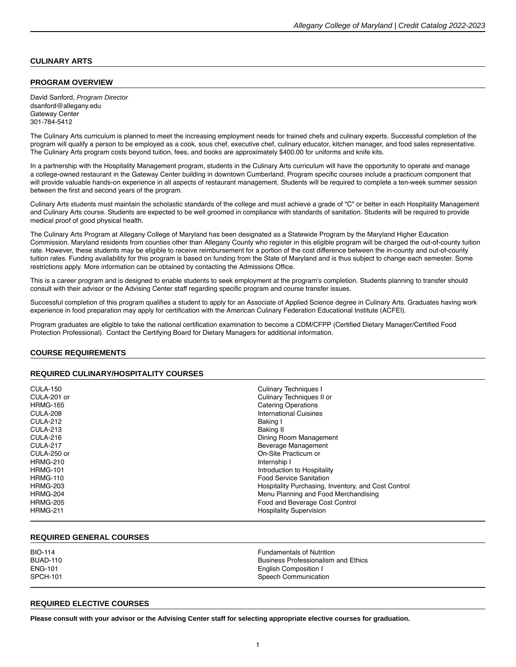# **CULINARY ARTS**

### **PROGRAM OVERVIEW**

David Sanford, Program Director dsanford@allegany.edu Gateway Center 301-784-5412

The Culinary Arts curriculum is planned to meet the increasing employment needs for trained chefs and culinary experts. Successful completion of the program will qualify a person to be employed as a cook, sous chef, executive chef, culinary educator, kitchen manager, and food sales representative. The Culinary Arts program costs beyond tuition, fees, and books are approximately \$400.00 for uniforms and knife kits.

In a partnership with the Hospitality Management program, students in the Culinary Arts curriculum will have the opportunity to operate and manage a college-owned restaurant in the Gateway Center building in downtown Cumberland. Program specific courses include a practicum component that will provide valuable hands-on experience in all aspects of restaurant management. Students will be required to complete a ten-week summer session between the first and second years of the program.

Culinary Arts students must maintain the scholastic standards of the college and must achieve a grade of "C" or better in each Hospitality Management and Culinary Arts course. Students are expected to be well groomed in compliance with standards of sanitation. Students will be required to provide medical proof of good physical health.

The Culinary Arts Program at Allegany College of Maryland has been designated as a Statewide Program by the Maryland Higher Education Commission. Maryland residents from counties other than Allegany County who register in this eligible program will be charged the out-of-county tuition rate. However, these students may be eligible to receive reimbursement for a portion of the cost difference between the in-county and out-of-county tuition rates. Funding availability for this program is based on funding from the State of Maryland and is thus subject to change each semester. Some restrictions apply. More information can be obtained by contacting the Admissions Office.

This is a career program and is designed to enable students to seek employment at the program's completion. Students planning to transfer should consult with their advisor or the Advising Center staff regarding specific program and course transfer issues.

Successful completion of this program qualifies a student to apply for an Associate of Applied Science degree in Culinary Arts. Graduates having work experience in food preparation may apply for certification with the American Culinary Federation Educational Institute (ACFEI).

Program graduates are eligible to take the national certification examination to become a CDM/CFPP (Certified Dietary Manager/Certified Food Protection Professional).  Contact the Certifying Board for Dietary Managers for additional information.

## **COURSE REQUIREMENTS**

### **REQUIRED CULINARY/HOSPITALITY COURSES**

| <b>CULA-150</b> | <b>Culinary Techniques I</b>                        |
|-----------------|-----------------------------------------------------|
| CULA-201 or     | Culinary Techniques II or                           |
| <b>HRMG-165</b> | <b>Catering Operations</b>                          |
| <b>CULA-208</b> | <b>International Cuisines</b>                       |
| <b>CULA-212</b> | Baking I                                            |
| <b>CULA-213</b> | <b>Baking II</b>                                    |
| CULA-216        | Dining Room Management                              |
| <b>CULA-217</b> | Beverage Management                                 |
| CULA-250 or     | On-Site Practicum or                                |
| <b>HRMG-210</b> | Internship I                                        |
| <b>HRMG-101</b> | Introduction to Hospitality                         |
| <b>HRMG-110</b> | <b>Food Service Sanitation</b>                      |
| <b>HRMG-203</b> | Hospitality Purchasing, Inventory, and Cost Control |
| <b>HRMG-204</b> | Menu Planning and Food Merchandising                |
| <b>HRMG-205</b> | Food and Beverage Cost Control                      |
| <b>HRMG-211</b> | <b>Hospitality Supervision</b>                      |

#### **REQUIRED GENERAL COURSES**

#### **REQUIRED ELECTIVE COURSES**

**Please consult with your advisor or the Advising Center staff for selecting appropriate [elective courses](https://catalog.allegany.edu/current/degrees-and-programs/academic-information.html#electives) for graduation.**